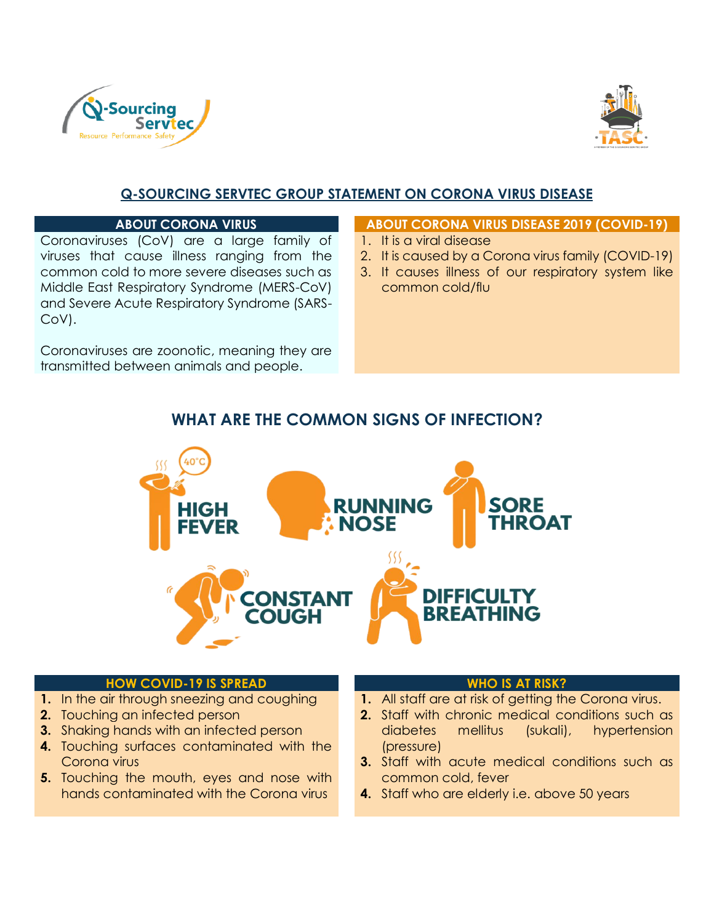



# **Q-SOURCING SERVTEC GROUP STATEMENT ON CORONA VIRUS DISEASE**

Coronaviruses (CoV) are a large family of viruses that cause illness ranging from the common cold to more severe diseases such as Middle East Respiratory Syndrome (MERS-CoV) and Severe Acute Respiratory Syndrome (SARS-CoV).

Coronaviruses are zoonotic, meaning they are transmitted between animals and people.

#### **ABOUT CORONA VIRUS ABOUT CORONA VIRUS DISEASE 2019 (COVID-19)**

- 1. It is a viral disease
- 2. It is caused by a Corona virus family (COVID-19)
- 3. It causes illness of our respiratory system like common cold/flu

# **WHAT ARE THE COMMON SIGNS OF INFECTION?**



#### **HOW COVID-19 IS SPREAD WHO IS AT RISK?**

- **1.** In the air through sneezing and coughing
- **2.** Touching an infected person
- **3.** Shaking hands with an infected person
- **4.** Touching surfaces contaminated with the Corona virus
- **5.** Touching the mouth, eyes and nose with hands contaminated with the Corona virus

- **1.** All staff are at risk of getting the Corona virus.
- **2.** Staff with chronic medical conditions such as diabetes mellitus (sukali), hypertension (pressure)
- **3.** Staff with acute medical conditions such as common cold, fever
- **4.** Staff who are elderly i.e. above 50 years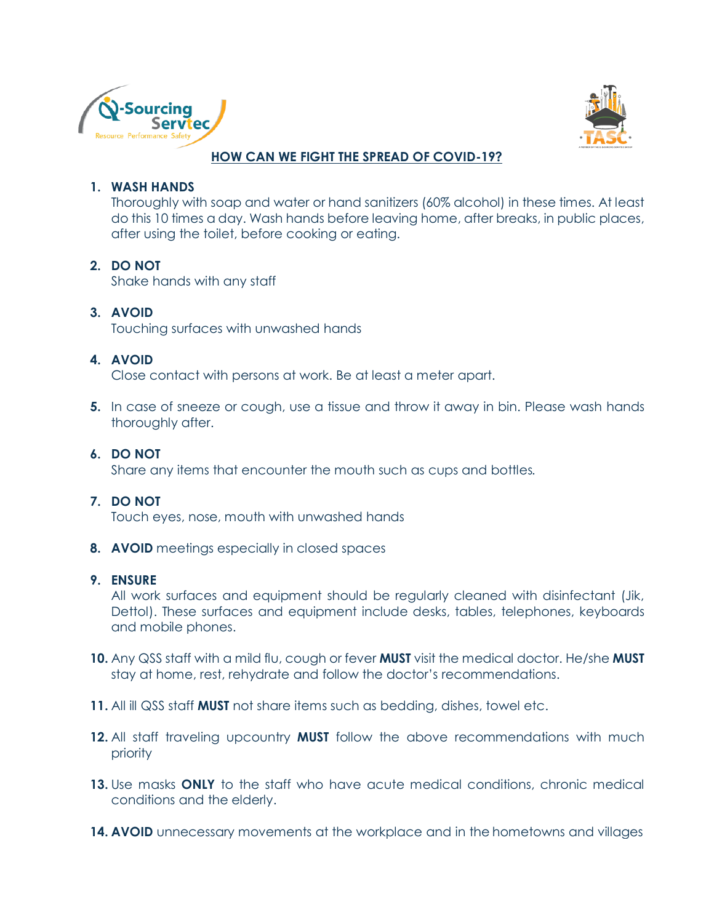



### **HOW CAN WE FIGHT THE SPREAD OF COVID-19?**

#### **1. WASH HANDS**

Thoroughly with soap and water or hand sanitizers (60% alcohol) in these times. At least do this 10 times a day. Wash hands before leaving home, after breaks, in public places, after using the toilet, before cooking or eating.

#### **2. DO NOT**

Shake hands with any staff

#### **3. AVOID**

Touching surfaces with unwashed hands

#### **4. AVOID**

Close contact with persons at work. Be at least a meter apart.

**5.** In case of sneeze or cough, use a tissue and throw it away in bin. Please wash hands thoroughly after.

#### **6. DO NOT**

Share any items that encounter the mouth such as cups and bottles.

#### **7. DO NOT**

Touch eyes, nose, mouth with unwashed hands

**8. AVOID** meetings especially in closed spaces

#### **9. ENSURE**

All work surfaces and equipment should be regularly cleaned with disinfectant (Jik, Dettol). These surfaces and equipment include desks, tables, telephones, keyboards and mobile phones.

- **10.** Any QSS staff with a mild flu, cough or fever **MUST** visit the medical doctor. He/she **MUST**  stay at home, rest, rehydrate and follow the doctor's recommendations.
- **11.** All ill QSS staff **MUST** not share items such as bedding, dishes, towel etc.
- **12.** All staff traveling upcountry **MUST** follow the above recommendations with much priority
- **13.** Use masks **ONLY** to the staff who have acute medical conditions, chronic medical conditions and the elderly.
- **14. AVOID** unnecessary movements at the workplace and in the hometowns and villages